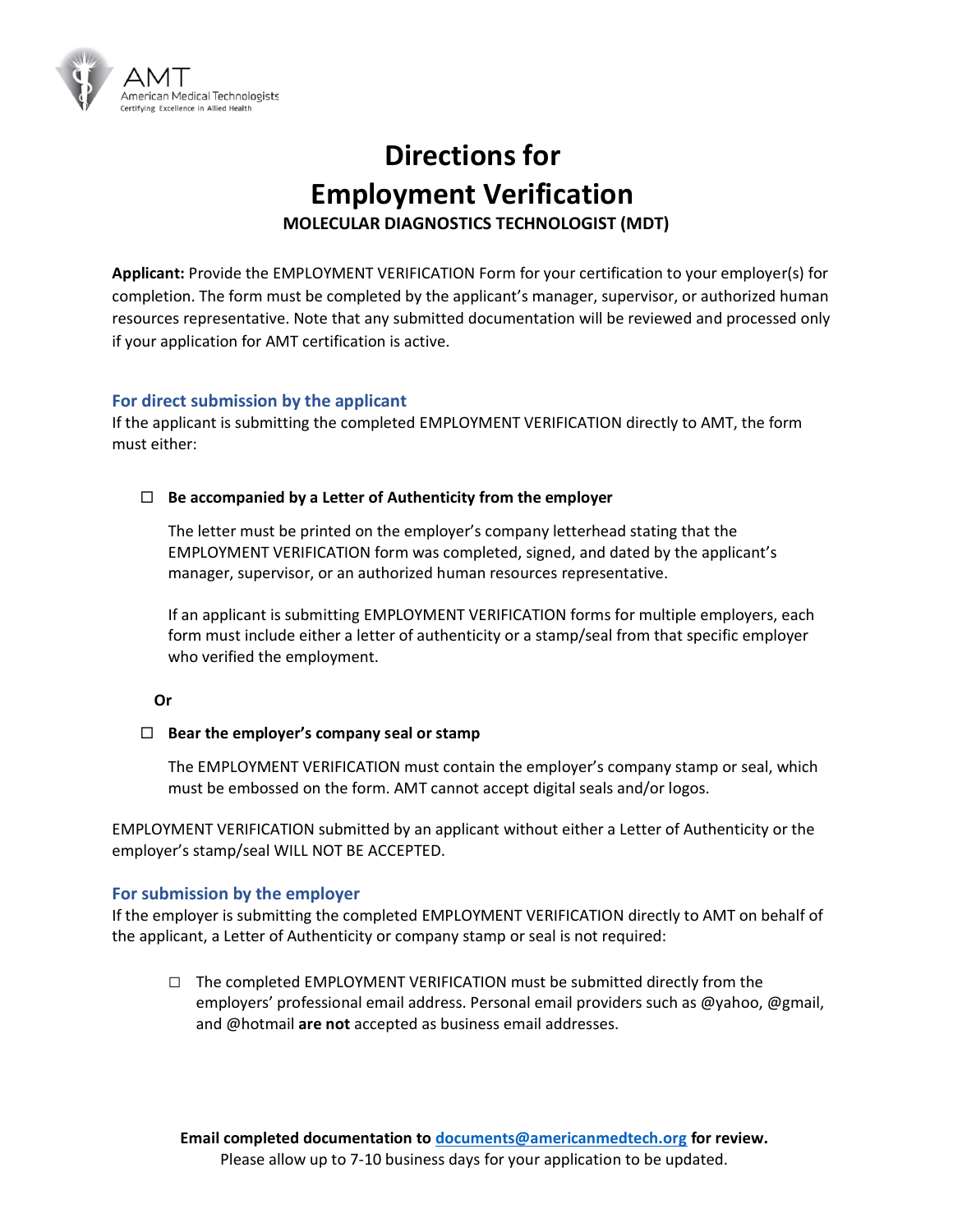

# **Directions for Employment Verification MOLECULAR DIAGNOSTICS TECHNOLOGIST (MDT)**

**Applicant:** Provide the EMPLOYMENT VERIFICATION Form for your certification to your employer(s) for completion. The form must be completed by the applicant's manager, supervisor, or authorized human resources representative. Note that any submitted documentation will be reviewed and processed only if your application for AMT certification is active.

### **For direct submission by the applicant**

If the applicant is submitting the completed EMPLOYMENT VERIFICATION directly to AMT, the form must either:

#### **Be accompanied by a Letter of Authenticity from the employer**

The letter must be printed on the employer's company letterhead stating that the EMPLOYMENT VERIFICATION form was completed, signed, and dated by the applicant's manager, supervisor, or an authorized human resources representative.

If an applicant is submitting EMPLOYMENT VERIFICATION forms for multiple employers, each form must include either a letter of authenticity or a stamp/seal from that specific employer who verified the employment.

#### **Or**

#### **Bear the employer's company seal or stamp**

The EMPLOYMENT VERIFICATION must contain the employer's company stamp or seal, which must be embossed on the form. AMT cannot accept digital seals and/or logos.

EMPLOYMENT VERIFICATION submitted by an applicant without either a Letter of Authenticity or the employer's stamp/seal WILL NOT BE ACCEPTED.

#### **For submission by the employer**

If the employer is submitting the completed EMPLOYMENT VERIFICATION directly to AMT on behalf of the applicant, a Letter of Authenticity or company stamp or seal is not required:

**□** The completed EMPLOYMENT VERIFICATION must be submitted directly from the employers' professional email address. Personal email providers such as @yahoo, @gmail, and @hotmail **are not** accepted as business email addresses.